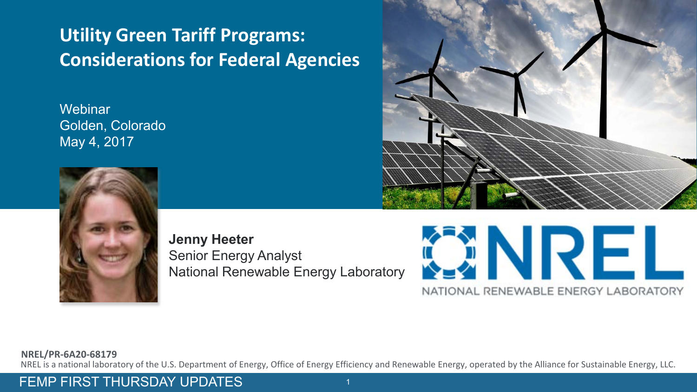#### **Utility Green Tariff Programs: Considerations for Federal Agencies**

**Webinar** Golden, Colorado May 4, 2017



**Jenny Heeter** Senior Energy Analyst National Renewable Energy Laboratory





#### **NREL/PR-6A20-68179**

NREL is a national laboratory of the U.S. Department of Energy, Office of Energy Efficiency and Renewable Energy, operated by the Alliance for Sustainable Energy, LLC.

FEMP FIRST THURSDAY UPDATES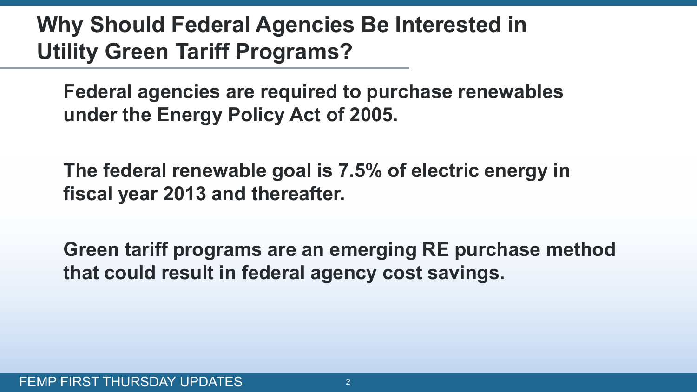## **Why Should Federal Agencies Be Interested in Utility Green Tariff Programs?**

**Federal agencies are required to purchase renewables under the Energy Policy Act of 2005.** 

**The federal renewable goal is 7.5% of electric energy in fiscal year 2013 and thereafter.**

**Green tariff programs are an emerging RE purchase method that could result in federal agency cost savings.**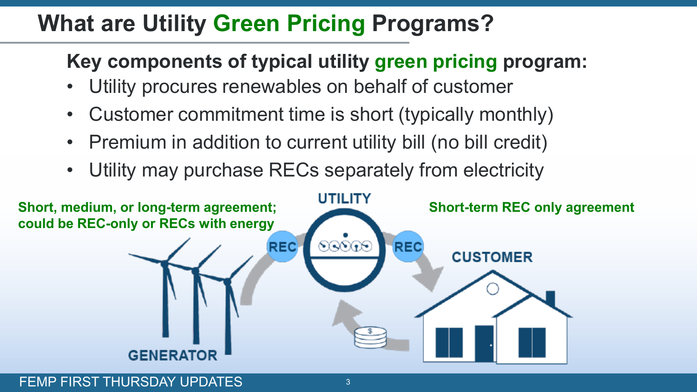## **What are Utility Green Pricing Programs?**

### **Key components of typical utility green pricing program:**

- Utility procures renewables on behalf of customer
- Customer commitment time is short (typically monthly)
- Premium in addition to current utility bill (no bill credit)
- Utility may purchase RECs separately from electricity

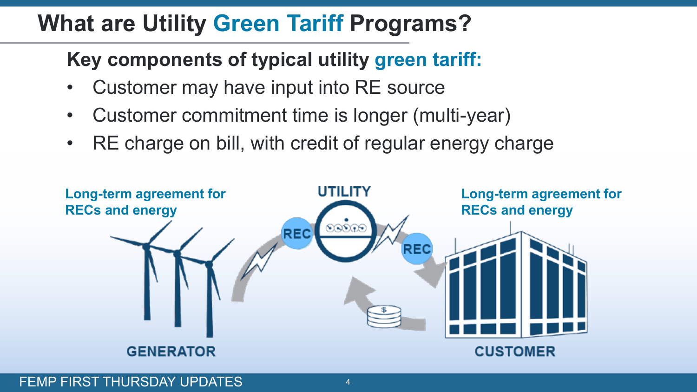## **What are Utility Green Tariff Programs?**

**Key components of typical utility green tariff:**

- Customer may have input into RE source
- Customer commitment time is longer (multi-year)
- RE charge on bill, with credit of regular energy charge

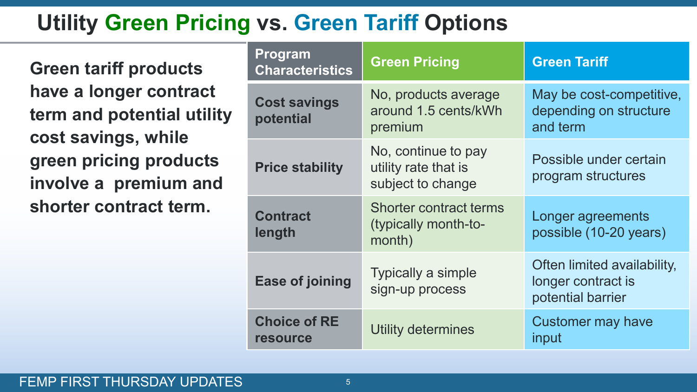## **Utility Green Pricing vs. Green Tariff Options**

**Green tariff products have a longer contract term and potential utility cost savings, while green pricing products involve a premium and shorter contract term.**

| <b>Program</b><br><b>Characteristics</b> | <b>Green Pricing</b>                                             | <b>Green Tariff</b>                                                    |  |
|------------------------------------------|------------------------------------------------------------------|------------------------------------------------------------------------|--|
| <b>Cost savings</b><br>potential         | No, products average<br>around 1.5 cents/kWh<br>premium          | May be cost-competitive,<br>depending on structure<br>and term         |  |
| <b>Price stability</b>                   | No, continue to pay<br>utility rate that is<br>subject to change | Possible under certain<br>program structures                           |  |
| <b>Contract</b><br>length                | <b>Shorter contract terms</b><br>(typically month-to-<br>month)  | Longer agreements<br>possible (10-20 years)                            |  |
| <b>Ease of joining</b>                   | <b>Typically a simple</b><br>sign-up process                     | Often limited availability,<br>longer contract is<br>potential barrier |  |
| <b>Choice of RE</b><br><b>resource</b>   | Utility determines                                               | Customer may have<br>input                                             |  |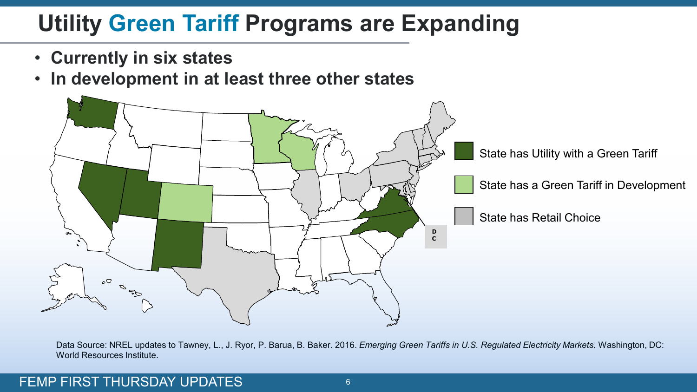# **Utility Green Tariff Programs are Expanding**

- **Currently in six states**
- **In development in at least three other states**



Data Source: NREL updates to Tawney, L., J. Ryor, P. Barua, B. Baker. 2016. *Emerging Green Tariffs in U.S. Regulated Electricity Markets.* Washington, DC: World Resources Institute.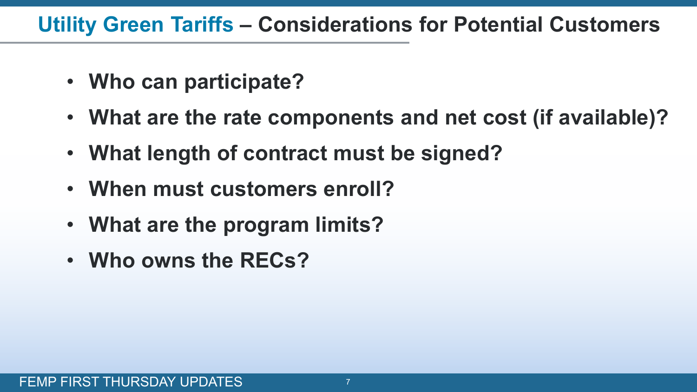### **Utility Green Tariffs – Considerations for Potential Customers**

- **Who can participate?**
- **What are the rate components and net cost (if available)?**
- **What length of contract must be signed?**
- **When must customers enroll?**
- **What are the program limits?**
- **Who owns the RECs?**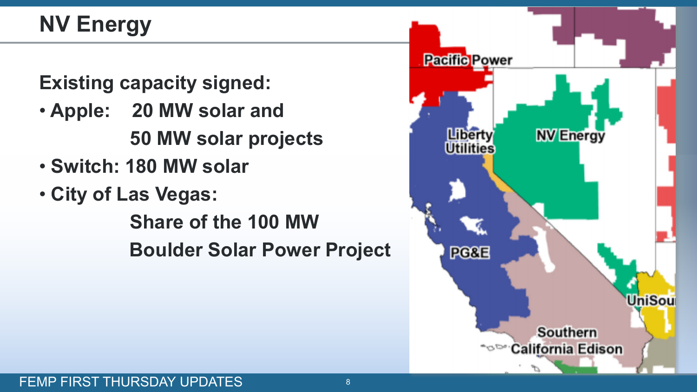# **NV Energy**

**Existing capacity signed:**

- **Apple: 20 MW solar and 50 MW solar projects**
- **Switch: 180 MW solar**
- **City of Las Vegas:**

 **Share of the 100 MW Boulder Solar Power Project** 

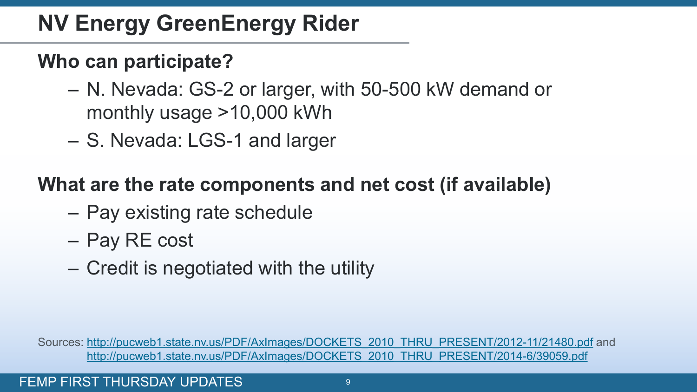## **NV Energy GreenEnergy Rider**

### **Who can participate?**

- N. Nevada: GS-2 or larger, with 50-500 kW demand or monthly usage >10,000 kWh
- S. Nevada: LGS-1 and larger

#### **What are the rate components and net cost (if available)**

- Pay existing rate schedule
- Pay RE cost
- Credit is negotiated with the utility

Sources: [http://pucweb1.state.nv.us/PDF/AxImages/DOCKETS\\_2010\\_THRU\\_PRESENT/2012-11/21480.pdf](http://pucweb1.state.nv.us/PDF/AxImages/DOCKETS_2010_THRU_PRESENT/2012-11/21480.pdf) and [http://pucweb1.state.nv.us/PDF/AxImages/DOCKETS\\_2010\\_THRU\\_PRESENT/2014-6/39059.pdf](http://pucweb1.state.nv.us/PDF/AxImages/DOCKETS_2010_THRU_PRESENT/2014-6/39059.pdf)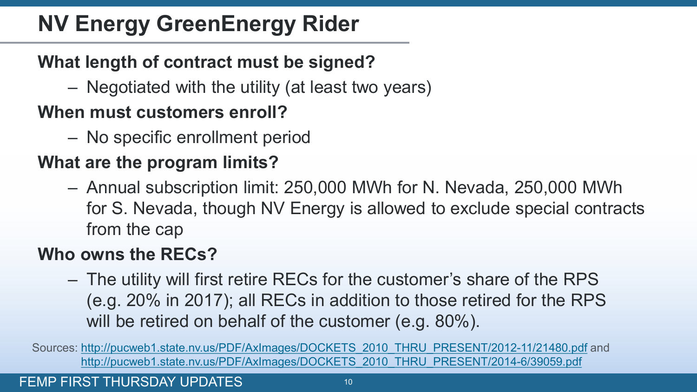## **NV Energy GreenEnergy Rider**

#### **What length of contract must be signed?**

– Negotiated with the utility (at least two years)

#### **When must customers enroll?**

– No specific enrollment period

#### **What are the program limits?**

– Annual subscription limit: 250,000 MWh for N. Nevada, 250,000 MWh for S. Nevada, though NV Energy is allowed to exclude special contracts from the cap

#### **Who owns the RECs?**

– The utility will first retire RECs for the customer's share of the RPS (e.g. 20% in 2017); all RECs in addition to those retired for the RPS will be retired on behalf of the customer (e.g. 80%).

Sources: [http://pucweb1.state.nv.us/PDF/AxImages/DOCKETS\\_2010\\_THRU\\_PRESENT/2012-11/21480.pdf](http://pucweb1.state.nv.us/PDF/AxImages/DOCKETS_2010_THRU_PRESENT/2012-11/21480.pdf) and [http://pucweb1.state.nv.us/PDF/AxImages/DOCKETS\\_2010\\_THRU\\_PRESENT/2014-6/39059.pdf](http://pucweb1.state.nv.us/PDF/AxImages/DOCKETS_2010_THRU_PRESENT/2014-6/39059.pdf)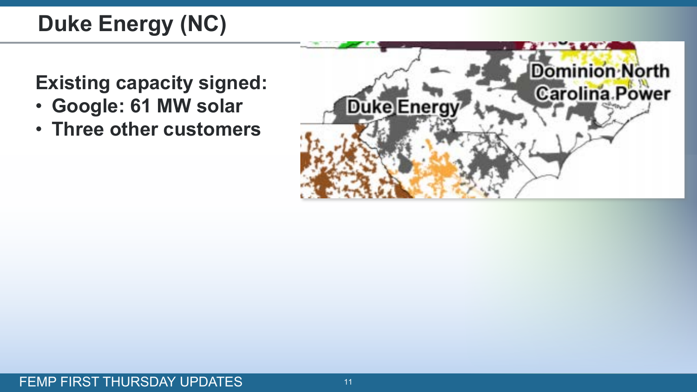# **Duke Energy (NC)**

**Existing capacity signed:**

- **Google: 61 MW solar**
- **Three other customers**

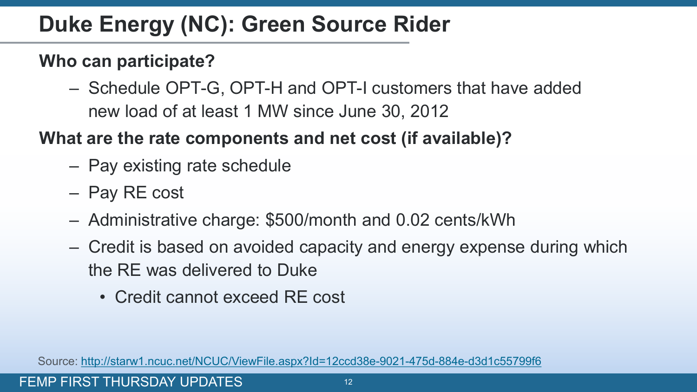## **Duke Energy (NC): Green Source Rider**

#### **Who can participate?**

– Schedule OPT-G, OPT-H and OPT-I customers that have added new load of at least 1 MW since June 30, 2012

#### **What are the rate components and net cost (if available)?**

- Pay existing rate schedule
- Pay RE cost
- Administrative charge: \$500/month and 0.02 cents/kWh
- Credit is based on avoided capacity and energy expense during which the RE was delivered to Duke
	- Credit cannot exceed RE cost

Source: <http://starw1.ncuc.net/NCUC/ViewFile.aspx?Id=12ccd38e-9021-475d-884e-d3d1c55799f6>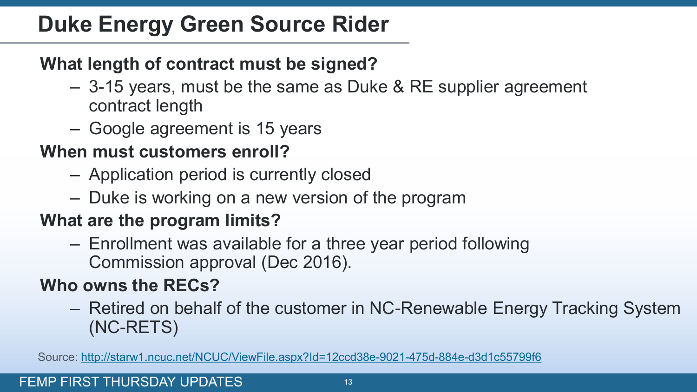## **Duke Energy Green Source Rider**

#### **What length of contract must be signed?**

- 3-15 years, must be the same as Duke & RE supplier agreement contract length
- Google agreement is 15 years

#### **When must customers enroll?**

- Application period is currently closed
- Duke is working on a new version of the program

#### **What are the program limits?**

– Enrollment was available for a three year period following Commission approval (Dec 2016).

#### **Who owns the RECs?**

– Retired on behalf of the customer in NC-Renewable Energy Tracking System (NC-RETS)

Source: <http://starw1.ncuc.net/NCUC/ViewFile.aspx?Id=12ccd38e-9021-475d-884e-d3d1c55799f6>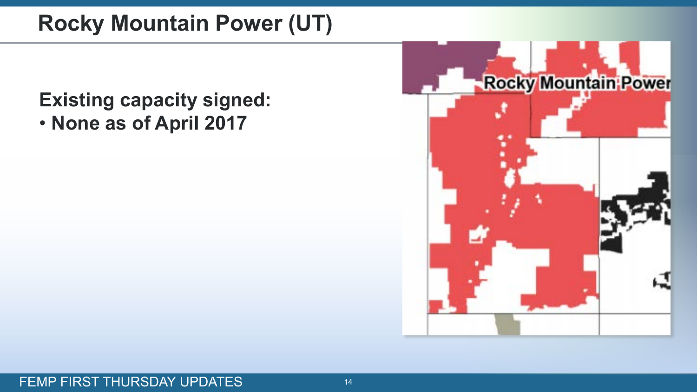## **Rocky Mountain Power (UT)**

### **Existing capacity signed:** • **None as of April 2017**

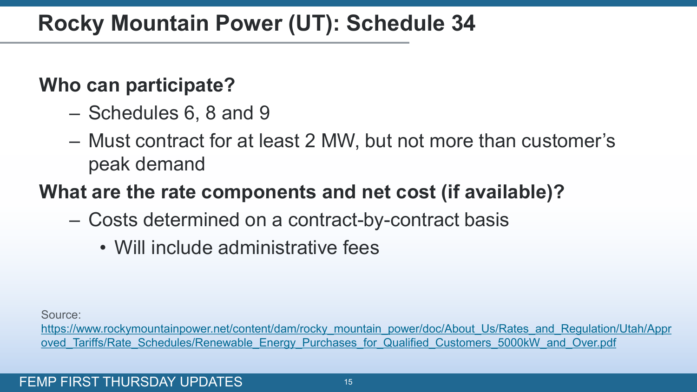## **Rocky Mountain Power (UT): Schedule 34**

#### **Who can participate?**

- Schedules 6, 8 and 9
- Must contract for at least 2 MW, but not more than customer's peak demand

### **What are the rate components and net cost (if available)?**

- Costs determined on a contract-by-contract basis
	- Will include administrative fees

Source:

[https://www.rockymountainpower.net/content/dam/rocky\\_mountain\\_power/doc/About\\_Us/Rates\\_and\\_Regulation/Utah/Appr](https://www.rockymountainpower.net/content/dam/rocky_mountain_power/doc/About_Us/Rates_and_Regulation/Utah/Approved_Tariffs/Rate_Schedules/Renewable_Energy_Purchases_for_Qualified_Customers_5000kW_and_Over.pdf) oved Tariffs/Rate Schedules/Renewable Energy Purchases for Qualified Customers 5000kW and Over.pdf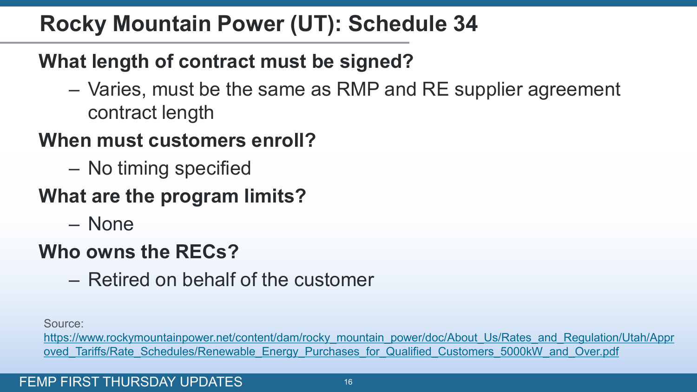## **Rocky Mountain Power (UT): Schedule 34**

### **What length of contract must be signed?**

– Varies, must be the same as RMP and RE supplier agreement contract length

### **When must customers enroll?**

– No timing specified

### **What are the program limits?**

– None

### **Who owns the RECs?**

– Retired on behalf of the customer

Source:

[https://www.rockymountainpower.net/content/dam/rocky\\_mountain\\_power/doc/About\\_Us/Rates\\_and\\_Regulation/Utah/Appr](https://www.rockymountainpower.net/content/dam/rocky_mountain_power/doc/About_Us/Rates_and_Regulation/Utah/Approved_Tariffs/Rate_Schedules/Renewable_Energy_Purchases_for_Qualified_Customers_5000kW_and_Over.pdf) oved Tariffs/Rate Schedules/Renewable Energy Purchases for Qualified Customers 5000kW and Over.pdf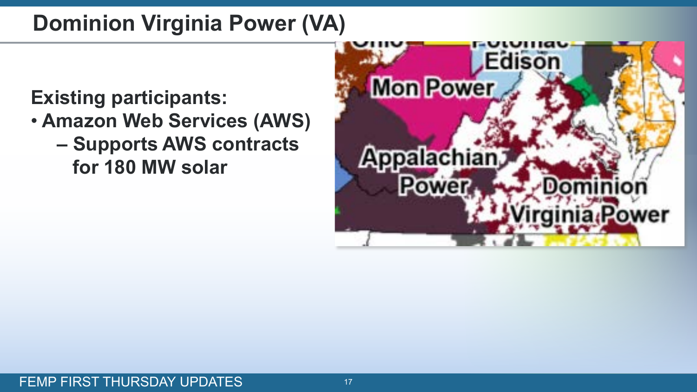## **Dominion Virginia Power (VA)**

### **Existing participants:**

- **Amazon Web Services (AWS)**
	- **– Supports AWS contracts for 180 MW solar**

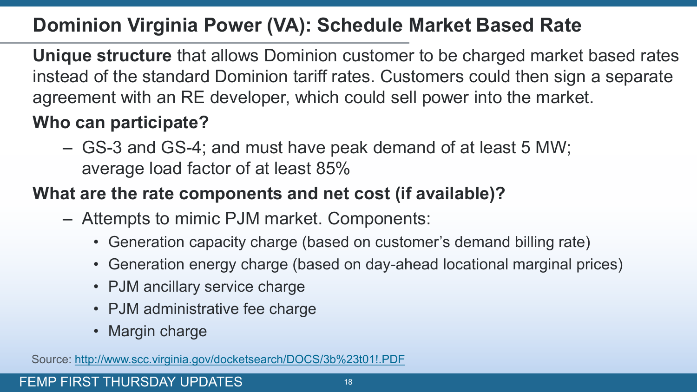#### **Dominion Virginia Power (VA): Schedule Market Based Rate**

**Unique structure** that allows Dominion customer to be charged market based rates instead of the standard Dominion tariff rates. Customers could then sign a separate agreement with an RE developer, which could sell power into the market.

#### **Who can participate?**

– GS-3 and GS-4; and must have peak demand of at least 5 MW; average load factor of at least 85%

#### **What are the rate components and net cost (if available)?**

- Attempts to mimic PJM market. Components:
	- Generation capacity charge (based on customer's demand billing rate)
	- Generation energy charge (based on day-ahead locational marginal prices)
	- PJM ancillary service charge
	- PJM administrative fee charge
	- Margin charge

Source: [http://www.scc.virginia.gov/docketsearch/DOCS/3b%23t01!.PDF](http://www.scc.virginia.gov/docketsearch/DOCS/3bt01!.PDF)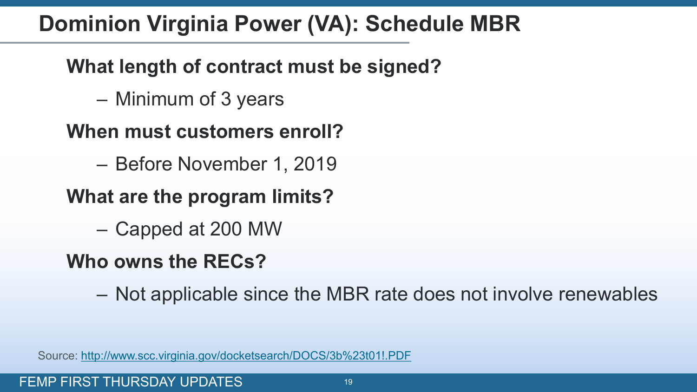## **Dominion Virginia Power (VA): Schedule MBR**

### **What length of contract must be signed?**

– Minimum of 3 years

### **When must customers enroll?**

– Before November 1, 2019

### **What are the program limits?**

– Capped at 200 MW

## **Who owns the RECs?**

– Not applicable since the MBR rate does not involve renewables

Source: [http://www.scc.virginia.gov/docketsearch/DOCS/3b%23t01!.PDF](http://www.scc.virginia.gov/docketsearch/DOCS/3bt01!.PDF)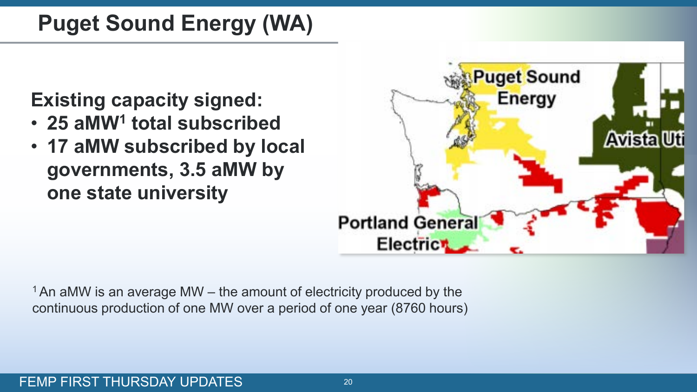## **Puget Sound Energy (WA)**

### **Existing capacity signed:**

- **25 aMW1 total subscribed**
- **17 aMW subscribed by local governments, 3.5 aMW by one state university**



 $1$  An aMW is an average MW – the amount of electricity produced by the continuous production of one MW over a period of one year (8760 hours)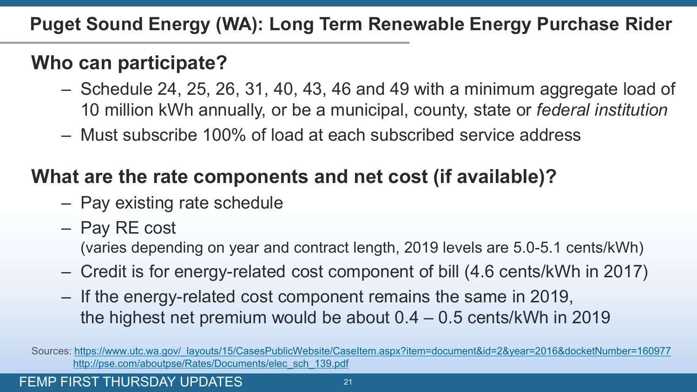**Puget Sound Energy (WA): Long Term Renewable Energy Purchase Rider**

### **Who can participate?**

- Schedule 24, 25, 26, 31, 40, 43, 46 and 49 with a minimum aggregate load of 10 million kWh annually, or be a municipal, county, state or *federal institution*
- Must subscribe 100% of load at each subscribed service address

### **What are the rate components and net cost (if available)?**

- Pay existing rate schedule
- Pay RE cost

(varies depending on year and contract length, 2019 levels are 5.0-5.1 cents/kWh)

- Credit is for energy-related cost component of bill (4.6 cents/kWh in 2017)
- If the energy-related cost component remains the same in 2019, the highest net premium would be about 0.4 – 0.5 cents/kWh in 2019

FEMP FIRST THURSDAY UPDATES **FEMP** FIRST THURSDAY UPDATES

Sources: [https://www.utc.wa.gov/\\_layouts/15/CasesPublicWebsite/CaseItem.aspx?item=document&id=2&year=2016&docketNumber=160977](https://www.utc.wa.gov/_layouts/15/CasesPublicWebsite/CaseItem.aspx?item=document&id=2&year=2016&docketNumber=160977) [http://pse.com/aboutpse/Rates/Documents/elec\\_sch\\_139.pdf](http://pse.com/aboutpse/Rates/Documents/elec_sch_139.pdf)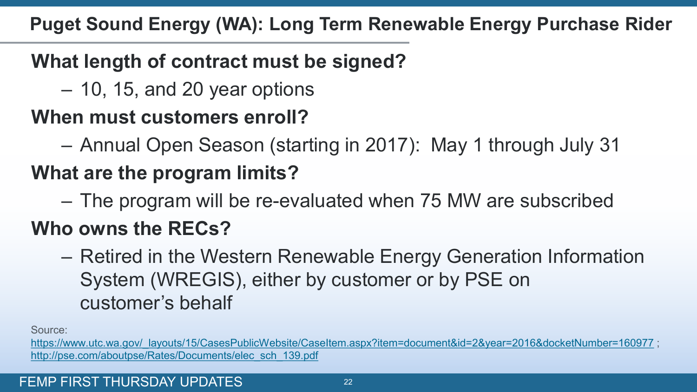**Puget Sound Energy (WA): Long Term Renewable Energy Purchase Rider**

### **What length of contract must be signed?**

– 10, 15, and 20 year options

### **When must customers enroll?**

– Annual Open Season (starting in 2017): May 1 through July 31

## **What are the program limits?**

– The program will be re-evaluated when 75 MW are subscribed

## **Who owns the RECs?**

– Retired in the Western Renewable Energy Generation Information System (WREGIS), either by customer or by PSE on customer's behalf

Source:

[https://www.utc.wa.gov/\\_layouts/15/CasesPublicWebsite/CaseItem.aspx?item=document&id=2&year=2016&docketNumber=160977](https://www.utc.wa.gov/_layouts/15/CasesPublicWebsite/CaseItem.aspx?item=document&id=2&year=2016&docketNumber=160977) ; [http://pse.com/aboutpse/Rates/Documents/elec\\_sch\\_139.pdf](http://pse.com/aboutpse/Rates/Documents/elec_sch_139.pdf)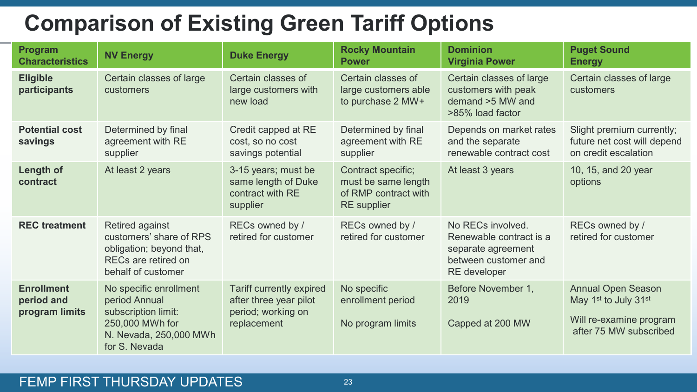## **Comparison of Existing Green Tariff Options**

| Program<br><b>Characteristics</b>                 | <b>NV Energy</b>                                                                                                             | <b>Duke Energy</b>                                                                      | <b>Rocky Mountain</b><br><b>Power</b>                                                   | <b>Dominion</b><br><b>Virginia Power</b>                                                                   | <b>Puget Sound</b><br><b>Energy</b>                                                                    |
|---------------------------------------------------|------------------------------------------------------------------------------------------------------------------------------|-----------------------------------------------------------------------------------------|-----------------------------------------------------------------------------------------|------------------------------------------------------------------------------------------------------------|--------------------------------------------------------------------------------------------------------|
| <b>Eligible</b><br>participants                   | Certain classes of large<br>customers                                                                                        | Certain classes of<br>large customers with<br>new load                                  | Certain classes of<br>large customers able<br>to purchase 2 MW+                         | Certain classes of large<br>customers with peak<br>demand $>5$ MW and<br>>85% load factor                  | Certain classes of large<br>customers                                                                  |
| <b>Potential cost</b><br>savings                  | Determined by final<br>agreement with RE<br>supplier                                                                         | Credit capped at RE<br>cost, so no cost<br>savings potential                            | Determined by final<br>agreement with RE<br>supplier                                    | Depends on market rates<br>and the separate<br>renewable contract cost                                     | Slight premium currently;<br>future net cost will depend<br>on credit escalation                       |
| Length of<br>contract                             | At least 2 years                                                                                                             | 3-15 years; must be<br>same length of Duke<br>contract with RE<br>supplier              | Contract specific;<br>must be same length<br>of RMP contract with<br><b>RE</b> supplier | At least 3 years                                                                                           | 10, 15, and 20 year<br>options                                                                         |
| <b>REC</b> treatment                              | Retired against<br>customers' share of RPS<br>obligation; beyond that,<br>RECs are retired on<br>behalf of customer          | RECs owned by /<br>retired for customer                                                 | RECs owned by /<br>retired for customer                                                 | No RECs involved.<br>Renewable contract is a<br>separate agreement<br>between customer and<br>RE developer | RECs owned by /<br>retired for customer                                                                |
| <b>Enrollment</b><br>period and<br>program limits | No specific enrollment<br>period Annual<br>subscription limit:<br>250,000 MWh for<br>N. Nevada, 250,000 MWh<br>for S. Nevada | Tariff currently expired<br>after three year pilot<br>period; working on<br>replacement | No specific<br>enrollment period<br>No program limits                                   | Before November 1,<br>2019<br>Capped at 200 MW                                                             | <b>Annual Open Season</b><br>May 1st to July 31st<br>Will re-examine program<br>after 75 MW subscribed |

#### FEMP FIRST THURSDAY UPDATES 23